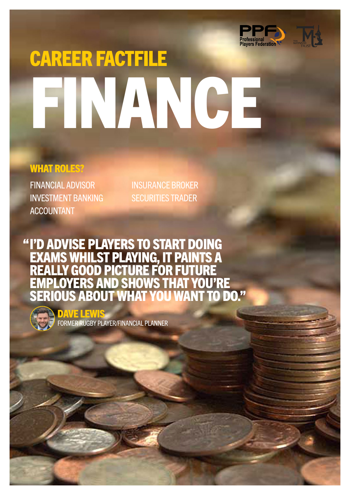

# CAREER FACTFILE FINANCE

### WHAT ROLES?

FINANCIAL ADVISOR INVESTMENT BANKING ACCOUNTANT

INSURANCE BROKER SECURITIES TRADER

I'D ADVISE PLAYERS TO START DOING EXAMS WHILST PLAYING, IT PAINTS A REALLY GOOD PICTURE FOR FUTURE EMPLOYERS AND SHOWS THAT YOU'RE SERIOUS ABOUT WHAT YOU WANT TO DO." "



DAVE LEWIS FORMER RUGBY PLAYER/FINANCIAL PLANNER